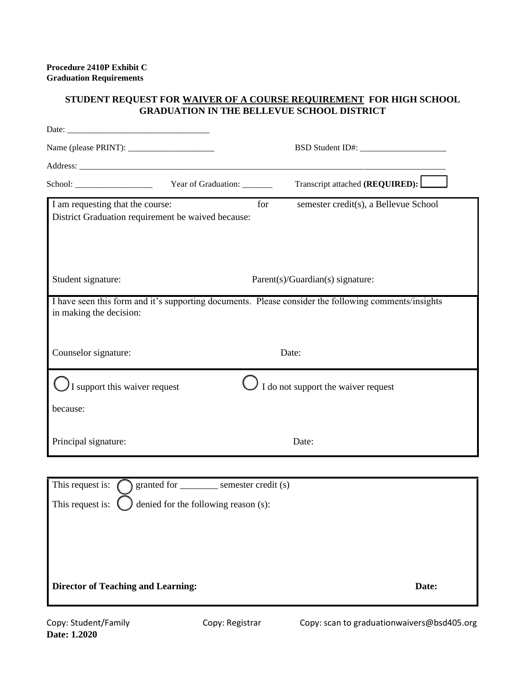## **STUDENT REQUEST FOR WAIVER OF A COURSE REQUIREMENT FOR HIGH SCHOOL GRADUATION IN THE BELLEVUE SCHOOL DISTRICT**

|                                                                                        |                                            | Transcript attached (REQUIRED):                                                                               |
|----------------------------------------------------------------------------------------|--------------------------------------------|---------------------------------------------------------------------------------------------------------------|
| I am requesting that the course:<br>District Graduation requirement be waived because: | for                                        | semester credit(s), a Bellevue School                                                                         |
| Student signature:                                                                     |                                            | Parent(s)/Guardian(s) signature:                                                                              |
| in making the decision:<br>Counselor signature:                                        |                                            | I have seen this form and it's supporting documents. Please consider the following comments/insights<br>Date: |
| I support this waiver request<br>because:                                              |                                            | I do not support the waiver request                                                                           |
| Principal signature:                                                                   |                                            | Date:                                                                                                         |
|                                                                                        |                                            |                                                                                                               |
| This request is:                                                                       | granted for __________ semester credit (s) |                                                                                                               |
| This request is:<br>denied for the following reason (s):                               |                                            |                                                                                                               |
|                                                                                        |                                            |                                                                                                               |
| <b>Director of Teaching and Learning:</b>                                              |                                            | Date:                                                                                                         |